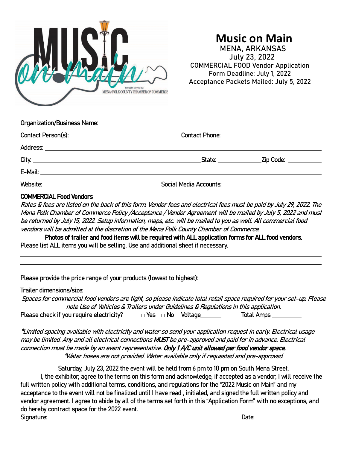

## **Music on Main** MENA, ARKANSAS July 23, 2022 COMMERCIAL FOOD Vendor Application Form Deadline: July 1, 2022 Acceptance Packets Mailed: July 5, 2022

|  | _State: __________________Zip Code: ____________ |
|--|--------------------------------------------------|
|  |                                                  |
|  |                                                  |

#### COMMERCIAL Food Vendors

Rates & fees are listed on the back of this form. Vendor fees and electrical fees must be paid by July 29, 2022. The Mena Polk Chamber of Commerce Policy /Acceptance / Vendor Agreement will be mailed by July 5, 2022 and must be returned by July 15, 2022. Setup information, maps, etc. will be mailed to you as well. All commercial food vendors will be admitted at the discretion of the Mena Polk County Chamber of Commerce.

Photos of trailer and food items will be required with ALL application forms for ALL food vendors. Please list ALL items you will be selling. Use and additional sheet if necessary.

Please provide the price range of your products (lowest to highest):

Trailer dimensions/size:

Spaces for commercial food vendors are tight, so please indicate total retail space required for your set-up. Please note Use of Vehicles & Trailers under Guidelines & Regulations in this application. Please check if you require electricity?  $\Box$  Yes  $\Box$  No Voltage  $\Box$  Total Amps  $\Box$ 

\*Limited spacing available with electricity and water so send your application request in early. Electrical usage may be limited. Any and all electrical connections MUST be pre-approved and paid for in advance. Electrical connection must be made by an event representative. Only 1 A/C unit allowed per food vendor space. \*Water hoses are not provided. Water available only if requested and pre-approved.

Saturday, July 23, 2022 the event will be held from 6 pm to 10 pm on South Mena Street. I, the exhibitor, agree to the terms on this form and acknowledge, if accepted as a vendor, I will receive the full written policy with additional terms, conditions, and regulations for the "2022 Music on Main" and my acceptance to the event will not be finalized until I have read , initialed, and signed the full written policy and vendor agreement. I agree to abide by all of the terms set forth in this "Application Form" with no exceptions, and do hereby contract space for the 2022 event. Signature: Date: